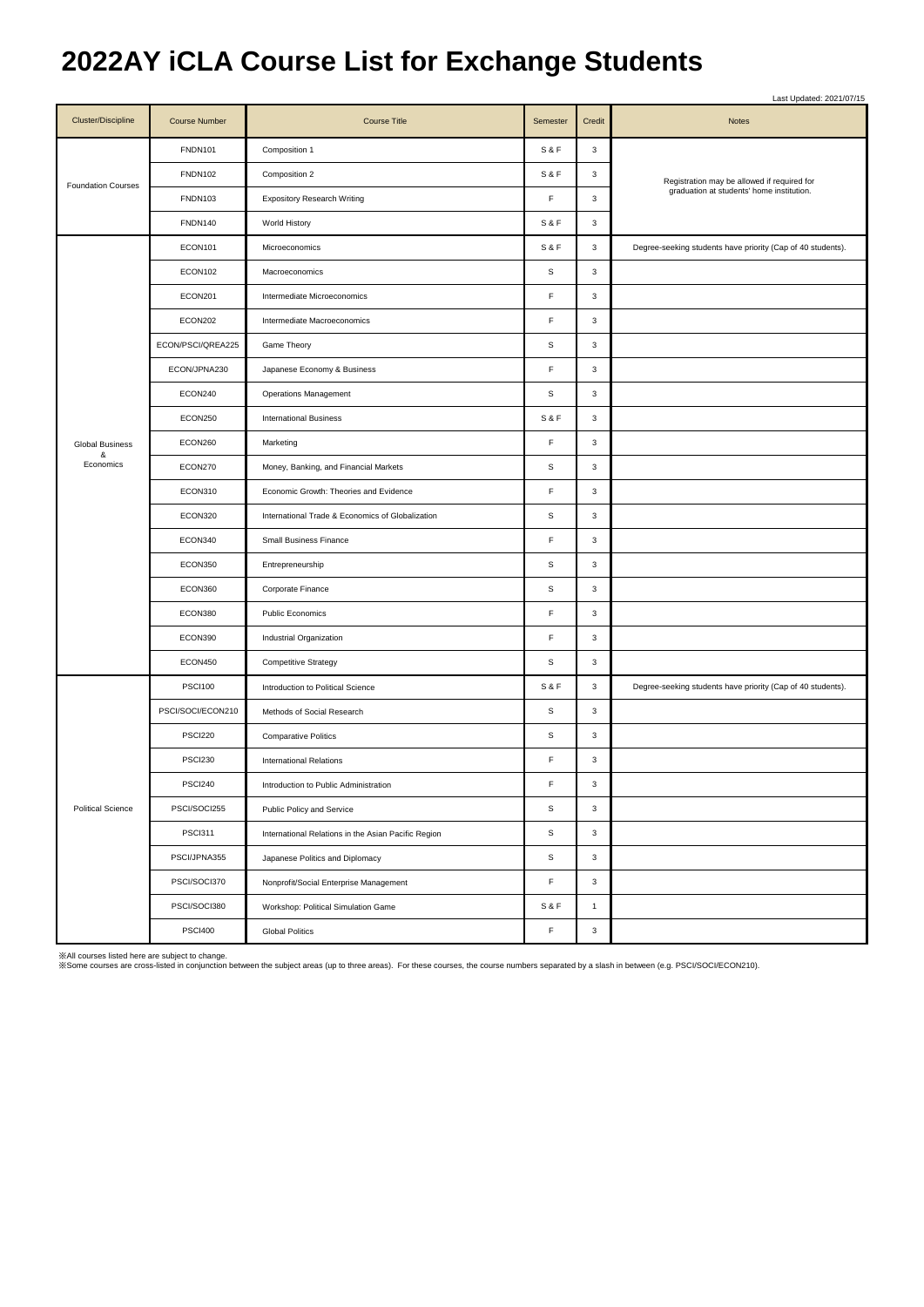## **2022AY iCLA Course List for Exchange Students**

|                           |                      |                                                     |                |                           | Last Updated: 2021/07/15                                                                 |
|---------------------------|----------------------|-----------------------------------------------------|----------------|---------------------------|------------------------------------------------------------------------------------------|
| <b>Cluster/Discipline</b> | <b>Course Number</b> | <b>Course Title</b>                                 | Semester       | Credit                    | Notes                                                                                    |
|                           | <b>FNDN101</b>       | Composition 1                                       | <b>S&amp;F</b> | $\ensuremath{\mathsf{3}}$ | Registration may be allowed if required for<br>graduation at students' home institution. |
|                           | <b>FNDN102</b>       | Composition 2                                       | <b>S&amp;F</b> | 3                         |                                                                                          |
| <b>Foundation Courses</b> | <b>FNDN103</b>       | <b>Expository Research Writing</b>                  | F              | $\mathbf 3$               |                                                                                          |
|                           | <b>FNDN140</b>       | World History                                       | <b>S&amp;F</b> | $\mathbf 3$               |                                                                                          |
|                           | ECON101              | Microeconomics                                      | S&F            | 3                         | Degree-seeking students have priority (Cap of 40 students).                              |
|                           | ECON102              | Macroeconomics                                      | $\mathbb S$    | $\ensuremath{\mathsf{3}}$ |                                                                                          |
|                           | ECON201              | Intermediate Microeconomics                         | F              | $\mathbf 3$               |                                                                                          |
|                           | ECON202              | Intermediate Macroeconomics                         | F              | $\ensuremath{\mathsf{3}}$ |                                                                                          |
|                           | ECON/PSCI/QREA225    | Game Theory                                         | $\mathbb S$    | $\ensuremath{\mathsf{3}}$ |                                                                                          |
|                           | ECON/JPNA230         | Japanese Economy & Business                         | F              | $\ensuremath{\mathsf{3}}$ |                                                                                          |
|                           | ECON240              | <b>Operations Management</b>                        | s              | 3                         |                                                                                          |
|                           | ECON250              | <b>International Business</b>                       | <b>S&amp;F</b> | $\ensuremath{\mathsf{3}}$ |                                                                                          |
| <b>Global Business</b>    | ECON260              | Marketing                                           | F              | $\ensuremath{\mathsf{3}}$ |                                                                                          |
| &<br>Economics            | ECON270              | Money, Banking, and Financial Markets               | s              | $\mathbf 3$               |                                                                                          |
|                           | ECON310              | Economic Growth: Theories and Evidence              | F              | $\mathbf 3$               |                                                                                          |
|                           | ECON320              | International Trade & Economics of Globalization    | s              | 3                         |                                                                                          |
|                           | ECON340              | Small Business Finance                              | F              | $\mathbf 3$               |                                                                                          |
|                           | ECON350              | Entrepreneurship                                    | s              | 3                         |                                                                                          |
|                           | ECON360              | Corporate Finance                                   | $\mathbb S$    | $\mathbf 3$               |                                                                                          |
|                           | ECON380              | <b>Public Economics</b>                             | F              | 3                         |                                                                                          |
|                           | ECON390              | Industrial Organization                             | F              | $\mathbf 3$               |                                                                                          |
|                           | ECON450              | <b>Competitive Strategy</b>                         | s              | 3                         |                                                                                          |
|                           | <b>PSCI100</b>       | Introduction to Political Science                   | S&F            | $\mathbf 3$               | Degree-seeking students have priority (Cap of 40 students).                              |
|                           | PSCI/SOCI/ECON210    | Methods of Social Research                          | s              | 3                         |                                                                                          |
| <b>Political Science</b>  | <b>PSCI220</b>       | <b>Comparative Politics</b>                         | $\mathbb S$    | $\mathbf 3$               |                                                                                          |
|                           | <b>PSCI230</b>       | <b>International Relations</b>                      | F              | 3                         |                                                                                          |
|                           | <b>PSCI240</b>       | Introduction to Public Administration               | F              | 3                         |                                                                                          |
|                           | PSCI/SOCI255         | Public Policy and Service                           | $\mathbb S$    | $\mathbf 3$               |                                                                                          |
|                           | <b>PSCI311</b>       | International Relations in the Asian Pacific Region | $\mathbb S$    | $\mathbf 3$               |                                                                                          |
|                           | PSCI/JPNA355         | Japanese Politics and Diplomacy                     | $\mathbb S$    | 3                         |                                                                                          |
|                           | PSCI/SOCI370         | Nonprofit/Social Enterprise Management              | F              | $\mathbf 3$               |                                                                                          |
|                           | PSCI/SOCI380         | Workshop: Political Simulation Game                 | <b>S&amp;F</b> | $\mathbf{1}$              |                                                                                          |
|                           | <b>PSCI400</b>       | <b>Global Politics</b>                              | F              | $\ensuremath{\mathsf{3}}$ |                                                                                          |

※All courses listed here are subject to change.<br>※Some courses are cross-listed in conjunction between the subject areas (up to three areas). For these courses, the course numbers separated by a slash in between (e.g. PSCI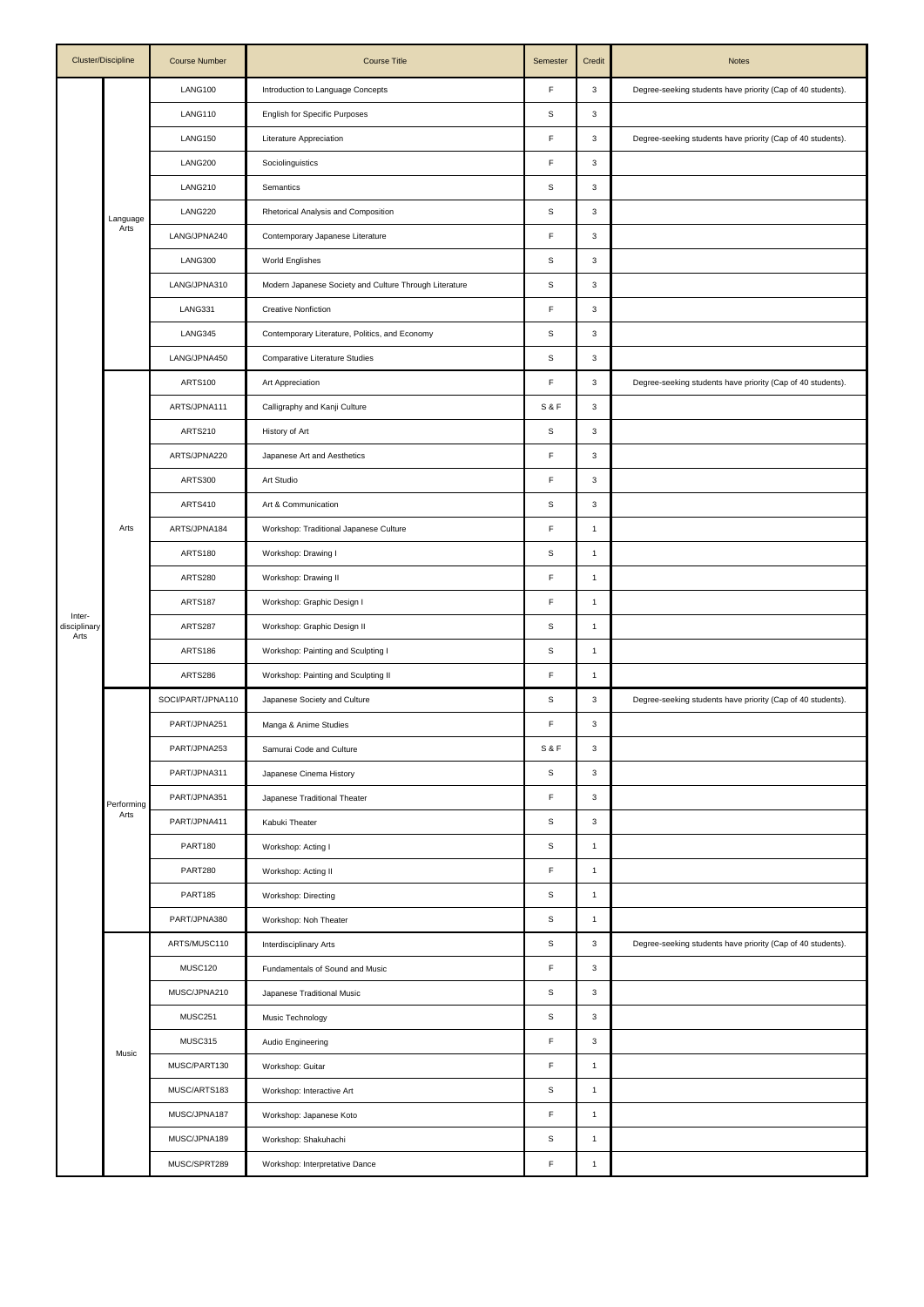| Cluster/Discipline   |                    | <b>Course Number</b> | <b>Course Title</b>                                    | Semester       | Credit                    | <b>Notes</b>                                                |
|----------------------|--------------------|----------------------|--------------------------------------------------------|----------------|---------------------------|-------------------------------------------------------------|
|                      |                    | LANG100              | Introduction to Language Concepts                      | F              | $\mathsf 3$               | Degree-seeking students have priority (Cap of 40 students). |
|                      |                    | LANG110              | <b>English for Specific Purposes</b>                   | $\mathbb S$    | $\mathsf 3$               |                                                             |
|                      |                    | LANG150              | Literature Appreciation                                | F              | 3                         | Degree-seeking students have priority (Cap of 40 students). |
|                      | Language<br>Arts   | LANG200              | Sociolinguistics                                       | F              | $\mathsf 3$               |                                                             |
|                      |                    | <b>LANG210</b>       | Semantics                                              | s              | $\mathsf 3$               |                                                             |
|                      |                    | LANG220              | Rhetorical Analysis and Composition                    | S              | $\mathsf 3$               |                                                             |
|                      |                    | LANG/JPNA240         | Contemporary Japanese Literature                       | F              | $\mathsf 3$               |                                                             |
|                      |                    | LANG300              | <b>World Englishes</b>                                 | S              | $\mathsf 3$               |                                                             |
|                      |                    | LANG/JPNA310         | Modern Japanese Society and Culture Through Literature | S              | $\mathsf 3$               |                                                             |
|                      |                    | LANG331              | <b>Creative Nonfiction</b>                             | F              | $\mathsf 3$               |                                                             |
|                      |                    | LANG345              | Contemporary Literature, Politics, and Economy         | $\mathbb S$    | $\mathbf 3$               |                                                             |
|                      |                    | LANG/JPNA450         | Comparative Literature Studies                         | S              | $\mathsf 3$               |                                                             |
|                      |                    | <b>ARTS100</b>       | Art Appreciation                                       | F              | $\mathsf 3$               | Degree-seeking students have priority (Cap of 40 students). |
|                      |                    | ARTS/JPNA111         | Calligraphy and Kanji Culture                          | <b>S&amp;F</b> | $\mathbf 3$               |                                                             |
|                      |                    | ARTS210              | History of Art                                         | $\mathbb S$    | $\mathsf 3$               |                                                             |
|                      |                    | ARTS/JPNA220         | Japanese Art and Aesthetics                            | F              | $\mathsf 3$               |                                                             |
|                      |                    | <b>ARTS300</b>       | Art Studio                                             | F              | $\mathsf 3$               |                                                             |
|                      |                    | <b>ARTS410</b>       | Art & Communication                                    | S              | $\mathsf 3$               |                                                             |
|                      | Arts               | ARTS/JPNA184         | Workshop: Traditional Japanese Culture                 | F              | $\mathbf{1}$              |                                                             |
|                      |                    | <b>ARTS180</b>       | Workshop: Drawing I                                    | S              | $\mathbf{1}$              |                                                             |
|                      |                    | ARTS280              | Workshop: Drawing II                                   | F              | $\mathbf{1}$              |                                                             |
| Inter-               |                    | <b>ARTS187</b>       | Workshop: Graphic Design I                             | F              | $\mathbf{1}$              |                                                             |
| disciplinary<br>Arts |                    | ARTS287              | Workshop: Graphic Design II                            | $\mathbb S$    | $\mathbf{1}$              |                                                             |
|                      |                    | <b>ARTS186</b>       | Workshop: Painting and Sculpting I                     | S              | $\mathbf{1}$              |                                                             |
|                      |                    | ARTS286              | Workshop: Painting and Sculpting II                    | F              | 1                         |                                                             |
|                      | Performing<br>Arts | SOCI/PART/JPNA110    | Japanese Society and Culture                           | s              | $\mathsf 3$               | Degree-seeking students have priority (Cap of 40 students). |
|                      |                    | PART/JPNA251         | Manga & Anime Studies                                  | F              | $\mathsf 3$               |                                                             |
|                      |                    | PART/JPNA253         | Samurai Code and Culture                               | S&F            | $\ensuremath{\mathsf{3}}$ |                                                             |
|                      |                    | PART/JPNA311         | Japanese Cinema History                                | $\mathbb S$    | $\mathbf 3$               |                                                             |
|                      |                    | PART/JPNA351         | Japanese Traditional Theater                           | F              | $\mathbf 3$               |                                                             |
|                      |                    | PART/JPNA411         | Kabuki Theater                                         | $\mathbb S$    | $\mathbf 3$               |                                                             |
|                      |                    | <b>PART180</b>       | Workshop: Acting I                                     | S              | $\mathbf{1}$              |                                                             |
|                      |                    | <b>PART280</b>       | Workshop: Acting II                                    | F              | $\mathbf{1}$              |                                                             |
|                      |                    | <b>PART185</b>       | Workshop: Directing                                    | S              | $\mathbf{1}$              |                                                             |
|                      |                    | PART/JPNA380         | Workshop: Noh Theater                                  | S              | $\mathbf{1}$              |                                                             |
|                      | Music              | ARTS/MUSC110         | Interdisciplinary Arts                                 | S              | $\mathsf 3$               | Degree-seeking students have priority (Cap of 40 students). |
|                      |                    | MUSC120              | Fundamentals of Sound and Music                        | F              | $\mathbf 3$               |                                                             |
|                      |                    | MUSC/JPNA210         | Japanese Traditional Music                             | S              | $\mathsf 3$               |                                                             |
|                      |                    | MUSC251              | Music Technology                                       | s              | $\mathbf 3$               |                                                             |
|                      |                    | MUSC315              | Audio Engineering                                      | F              | $\mathbf 3$               |                                                             |
|                      |                    | MUSC/PART130         | Workshop: Guitar                                       | F              | $\mathbf{1}$              |                                                             |
|                      |                    | MUSC/ARTS183         | Workshop: Interactive Art                              | $\mathbb S$    | $\mathbf{1}$              |                                                             |
|                      |                    | MUSC/JPNA187         | Workshop: Japanese Koto                                | F              | $\mathbf{1}$              |                                                             |
|                      |                    | MUSC/JPNA189         | Workshop: Shakuhachi                                   | $\mathbb S$    | $\mathbf{1}$              |                                                             |
|                      |                    | MUSC/SPRT289         | Workshop: Interpretative Dance                         | F              | $\mathbf{1}$              |                                                             |